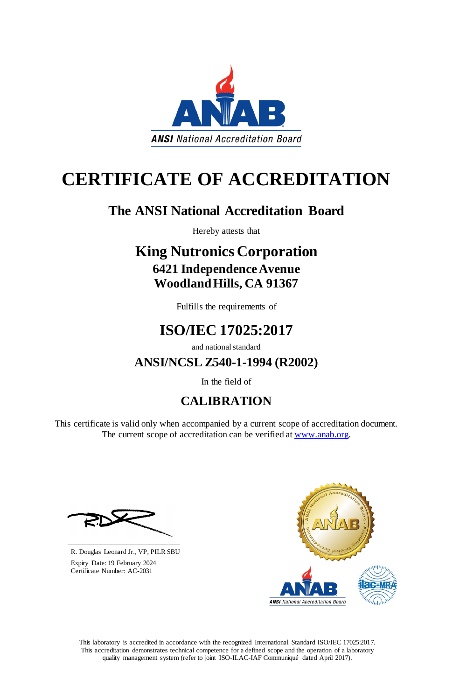This laboratory is accredited in accordance with the recognized International Standard ISO/IEC 17025:2017. This accreditation demonstrates technical competence for a defined scope and the operation of a laboratory quality management system (refer to joint ISO-ILAC-IAF Communiqué dated April 2017).

This certificate is valid only when accompanied by a current scope of accreditation document. The current scope of accreditation can be verified at [www.anab.org.](http://www.anab.org/)







# **CERTIFICATE OF ACCREDITATION**

## **The ANSI National Accreditation Board**

Hereby attests that

### **King Nutronics Corporation 6421 Independence Avenue Woodland Hills, CA 91367**

Fulfills the requirements of

# **ISO/IEC 17025:2017**

and national standard

**ANSI/NCSL Z540-1-1994 (R2002)**

In the field of

# **CALIBRATION**

**\_\_\_\_\_\_\_\_\_\_\_\_\_\_\_\_\_\_\_\_\_\_\_\_\_\_\_\_\_\_** R. Douglas Leonard Jr., VP, PILR SBU

 Expiry Date: 19 February 2024 Certificate Number: AC-2031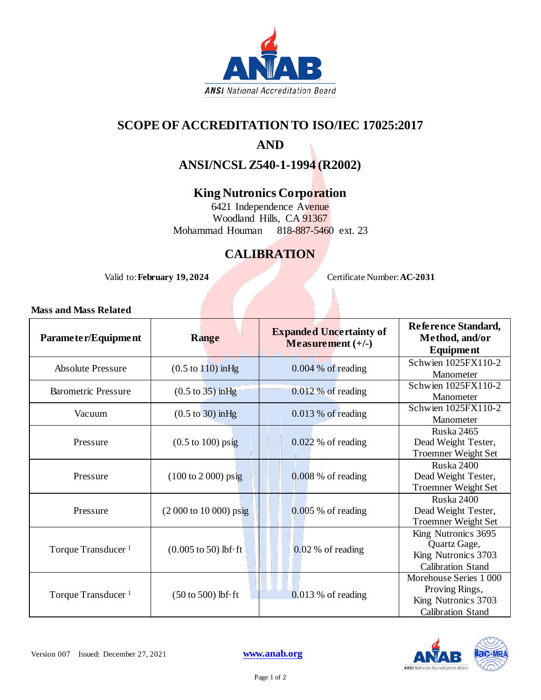

### **SCOPE OF ACCREDITATION TO ISO/IEC 17025:2017**

### **AND**

**ANSI/NCSL Z540-1-1994 (R2002)**

#### **King Nutronics Corporation**

6421 Independence Avenue Woodland Hills, CA 91367 Mohammad Houman 818-887-5460 ext. 23

### **CALIBRATION**

Valid to: **February 19, 2024** Certificate Number: **AC-2031**

#### **Mass and Mass Related**

| Parameter/Equipment            | <b>Range</b>                                         | <b>Expanded Uncertainty of</b><br>Measurement $(+/-)$ | Reference Standard,<br>Method, and/or<br>Equipment                                         |
|--------------------------------|------------------------------------------------------|-------------------------------------------------------|--------------------------------------------------------------------------------------------|
| <b>Absolute Pressure</b>       | $(0.5 \text{ to } 110) \text{ inHg}$                 | $0.004\%$ of reading                                  | Schwien 1025FX110-2<br>Manometer                                                           |
| <b>Barometric Pressure</b>     | $(0.5 \text{ to } 35)$ in Hg                         | 0.012 % of reading                                    | Schwien 1025FX110-2<br>Manometer                                                           |
| Vacuum                         | $(0.5 \text{ to } 30)$ in Hg                         | $0.013\%$ of reading                                  | Schwien 1025FX110-2<br>Manometer                                                           |
| Pressure                       | $(0.5 \text{ to } 100)$ psig                         | $0.022\%$ of reading                                  | <b>Ruska 2465</b><br>Dead Weight Tester,<br><b>Troemner Weight Set</b>                     |
| Pressure                       | $(100 \text{ to } 2000) \text{ psig}$                | $0.008\%$ of reading                                  | Ruska 2400<br>Dead Weight Tester,<br>Troemner Weight Set                                   |
| Pressure                       | (2 000 to 10 000) psig                               | $0.005\%$ of reading                                  | Ruska 2400<br>Dead Weight Tester,<br><b>Troemner Weight Set</b>                            |
| Torque Transducer <sup>1</sup> | $(0.005 \text{ to } 50) \text{ lbf} \cdot \text{ft}$ | $0.02\%$ of reading                                   | King Nutronics 3695<br>Quartz Gage,<br>King Nutronics 3703<br><b>Calibration Stand</b>     |
| Torque Transducer <sup>1</sup> | $(50 \text{ to } 500)$ lbf $\cdot$ ft                | $0.013\%$ of reading                                  | Morehouse Series 1000<br>Proving Rings,<br>King Nutronics 3703<br><b>Calibration Stand</b> |